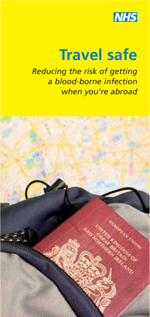

# **Travel safe**

*Reducing the risk of getting a blood-borne infection when you're abroad* 

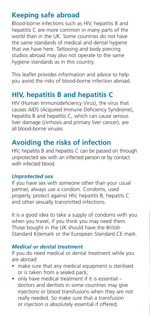# **Keeping safe abroad**

Blood-borne infections such as HIV, hepatitis B and hepatitis C are more common in many parts of the world than in the UK. Some countries do not have the same standards of medical and dental hygiene that we have here. Tattooing and body piercing studios abroad may also not operate to the same hygiene standards as in this country.

This leaflet provides information and advice to help you avoid the risks of blood-borne infection abroad.

# **HIV, hepatitis B and hepatitis C**

HIV (Human Immunodeficiency Virus), the virus that causes AIDS (Acquired Immune Deficiency Syndrome), hepatitis B and hepatitis C, which can cause serious liver damage (cirrhosis and primary liver cancer), are all blood-borne viruses.

# **Avoiding the risks of infection**

HIV, hepatitis B and hepatitis C can be passed on through unprotected sex with an infected person or by contact with infected blood.

#### *Unprotected sex*

If you have sex with someone other than your usual partner, always use a condom. Condoms, used properly, protect against HIV, hepatitis B, hepatits C and other sexually transmitted infections.

It is a good idea to take a supply of condoms with you when you travel, if you think you may need them. Those bought in the UK should have the British Standard Kitemark or the European Standard CE mark.

## *Medical or dental treatment*

If you do need medical or dental treatment while you are abroad:

- make sure that any medical equipment is sterilised or is taken from a sealed pack;
- only have medical treatment if it is essential doctors and dentists in some countries may give injections or blood transfusions when they are not really needed. So make sure that a transfusion or injection is absolutely essential if offered;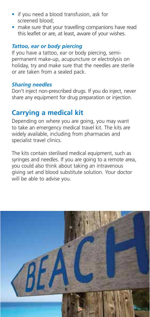- if you need a blood transfusion, ask for screened blood;
- make sure that your travelling companions have read this leaflet or are, at least, aware of your wishes.

### *Tattoo, ear or body piercing*

If you have a tattoo, ear or body piercing, semipermanent make-up, acupuncture or electrolysis on holiday, try and make sure that the needles are sterile or are taken from a sealed pack.

#### *Sharing needles*

Don't inject non-prescribed drugs. If you do inject, never share any equipment for drug preparation or injection.

## **Carrying a medical kit**

Depending on where you are going, you may want to take an emergency medical travel kit. The kits are widely available, including from pharmacies and specialist travel clinics.

The kits contain sterilised medical equipment, such as syringes and needles. If you are going to a remote area, you could also think about taking an intravenous giving set and blood substitute solution. Your doctor will be able to advise you.